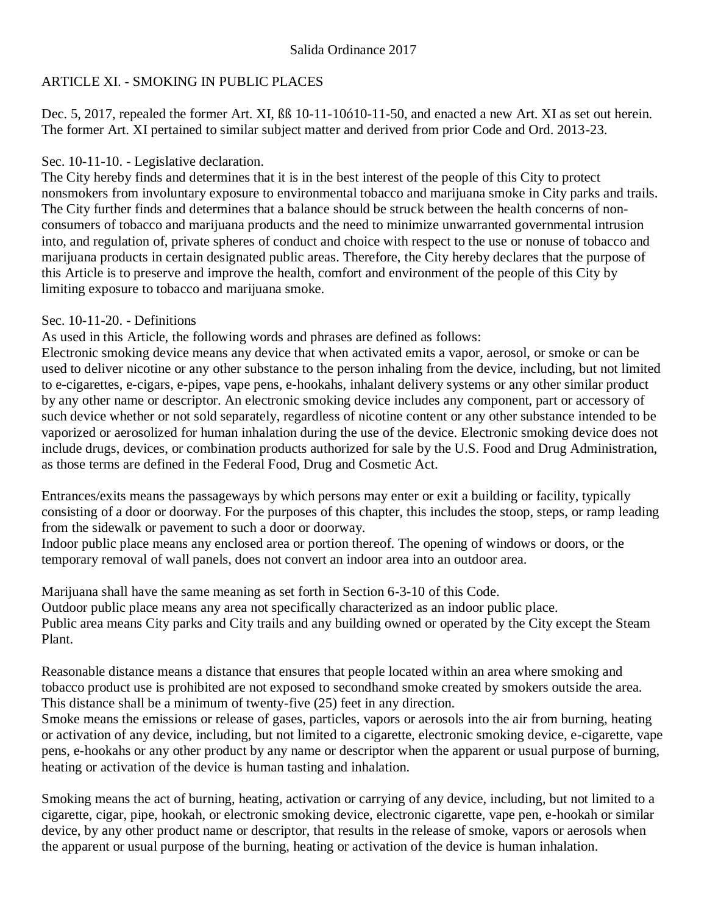## ARTICLE XI. - SMOKING IN PUBLIC PLACES

Dec. 5, 2017, repealed the former Art. XI, ßß 10-11-10ó10-11-50, and enacted a new Art. XI as set out herein. The former Art. XI pertained to similar subject matter and derived from prior Code and Ord. 2013-23.

## Sec. 10-11-10. - Legislative declaration.

The City hereby finds and determines that it is in the best interest of the people of this City to protect nonsmokers from involuntary exposure to environmental tobacco and marijuana smoke in City parks and trails. The City further finds and determines that a balance should be struck between the health concerns of nonconsumers of tobacco and marijuana products and the need to minimize unwarranted governmental intrusion into, and regulation of, private spheres of conduct and choice with respect to the use or nonuse of tobacco and marijuana products in certain designated public areas. Therefore, the City hereby declares that the purpose of this Article is to preserve and improve the health, comfort and environment of the people of this City by limiting exposure to tobacco and marijuana smoke.

## Sec. 10-11-20. - Definitions

As used in this Article, the following words and phrases are defined as follows:

Electronic smoking device means any device that when activated emits a vapor, aerosol, or smoke or can be used to deliver nicotine or any other substance to the person inhaling from the device, including, but not limited to e-cigarettes, e-cigars, e-pipes, vape pens, e-hookahs, inhalant delivery systems or any other similar product by any other name or descriptor. An electronic smoking device includes any component, part or accessory of such device whether or not sold separately, regardless of nicotine content or any other substance intended to be vaporized or aerosolized for human inhalation during the use of the device. Electronic smoking device does not include drugs, devices, or combination products authorized for sale by the U.S. Food and Drug Administration, as those terms are defined in the Federal Food, Drug and Cosmetic Act.

Entrances/exits means the passageways by which persons may enter or exit a building or facility, typically consisting of a door or doorway. For the purposes of this chapter, this includes the stoop, steps, or ramp leading from the sidewalk or pavement to such a door or doorway.

Indoor public place means any enclosed area or portion thereof. The opening of windows or doors, or the temporary removal of wall panels, does not convert an indoor area into an outdoor area.

Marijuana shall have the same meaning as set forth in Section 6-3-10 of this Code. Outdoor public place means any area not specifically characterized as an indoor public place. Public area means City parks and City trails and any building owned or operated by the City except the Steam Plant.

Reasonable distance means a distance that ensures that people located within an area where smoking and tobacco product use is prohibited are not exposed to secondhand smoke created by smokers outside the area. This distance shall be a minimum of twenty-five (25) feet in any direction.

Smoke means the emissions or release of gases, particles, vapors or aerosols into the air from burning, heating or activation of any device, including, but not limited to a cigarette, electronic smoking device, e-cigarette, vape pens, e-hookahs or any other product by any name or descriptor when the apparent or usual purpose of burning, heating or activation of the device is human tasting and inhalation.

Smoking means the act of burning, heating, activation or carrying of any device, including, but not limited to a cigarette, cigar, pipe, hookah, or electronic smoking device, electronic cigarette, vape pen, e-hookah or similar device, by any other product name or descriptor, that results in the release of smoke, vapors or aerosols when the apparent or usual purpose of the burning, heating or activation of the device is human inhalation.